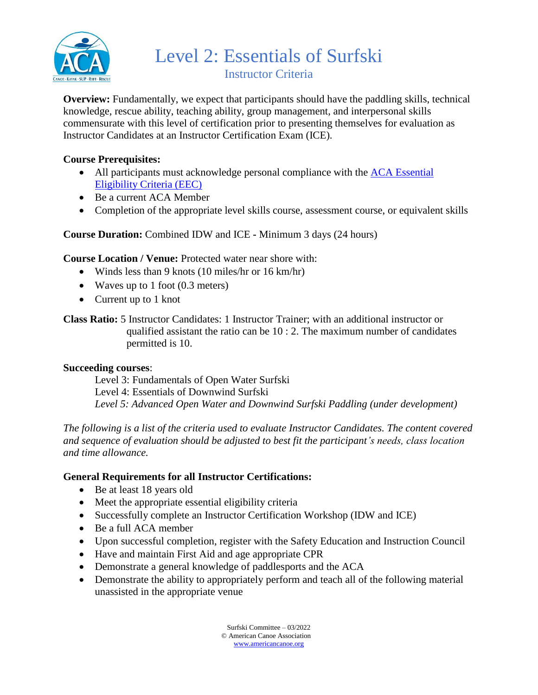

**Overview:** Fundamentally, we expect that participants should have the paddling skills, technical knowledge, rescue ability, teaching ability, group management, and interpersonal skills commensurate with this level of certification prior to presenting themselves for evaluation as Instructor Candidates at an Instructor Certification Exam (ICE).

### **Course Prerequisites:**

- All participants must acknowledge personal compliance with the ACA Essential [Eligibility Criteria \(EEC\)](https://americancanoe.org/essential-eligibility-criteria/)
- Be a current ACA Member
- Completion of the appropriate level skills course, assessment course, or equivalent skills

## **Course Duration:** Combined IDW and ICE **-** Minimum 3 days (24 hours)

#### **Course Location / Venue:** Protected water near shore with:

- Winds less than 9 knots (10 miles/hr or 16 km/hr)
- Waves up to 1 foot (0.3 meters)
- Current up to 1 knot

**Class Ratio:** 5 Instructor Candidates: 1 Instructor Trainer; with an additional instructor or qualified assistant the ratio can be 10 : 2. The maximum number of candidates permitted is 10.

#### **Succeeding courses**:

Level 3: Fundamentals of Open Water Surfski Level 4: Essentials of Downwind Surfski *Level 5: Advanced Open Water and Downwind Surfski Paddling (under development)*

*The following is a list of the criteria used to evaluate Instructor Candidates. The content covered and sequence of evaluation should be adjusted to best fit the participant's needs, class location and time allowance.*

#### **General Requirements for all Instructor Certifications:**

- Be at least 18 years old
- Meet the appropriate essential eligibility criteria
- Successfully complete an Instructor Certification Workshop (IDW and ICE)
- Be a full ACA member
- Upon successful completion, register with the Safety Education and Instruction Council
- Have and maintain First Aid and age appropriate CPR
- Demonstrate a general knowledge of paddlesports and the ACA
- Demonstrate the ability to appropriately perform and teach all of the following material unassisted in the appropriate venue

Surfski Committee – 03/2022 © American Canoe Association [www.americancanoe.org](http://www.americancanoe.org/)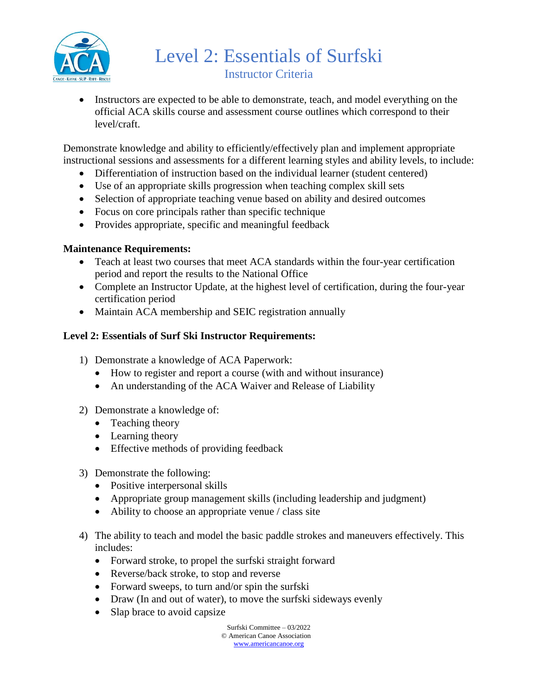

• Instructors are expected to be able to demonstrate, teach, and model everything on the official ACA skills course and assessment course outlines which correspond to their level/craft.

Demonstrate knowledge and ability to efficiently/effectively plan and implement appropriate instructional sessions and assessments for a different learning styles and ability levels, to include:

- Differentiation of instruction based on the individual learner (student centered)
- Use of an appropriate skills progression when teaching complex skill sets
- Selection of appropriate teaching venue based on ability and desired outcomes
- Focus on core principals rather than specific technique
- Provides appropriate, specific and meaningful feedback

## **Maintenance Requirements:**

- Teach at least two courses that meet ACA standards within the four-year certification period and report the results to the National Office
- Complete an Instructor Update, at the highest level of certification, during the four-year certification period
- Maintain ACA membership and SEIC registration annually

# **Level 2: Essentials of Surf Ski Instructor Requirements:**

- 1) Demonstrate a knowledge of ACA Paperwork:
	- How to register and report a course (with and without insurance)
	- An understanding of the ACA Waiver and Release of Liability

#### 2) Demonstrate a knowledge of:

- Teaching theory
- Learning theory
- Effective methods of providing feedback
- 3) Demonstrate the following:
	- Positive interpersonal skills
	- Appropriate group management skills (including leadership and judgment)
	- Ability to choose an appropriate venue / class site
- 4) The ability to teach and model the basic paddle strokes and maneuvers effectively. This includes:
	- Forward stroke, to propel the surfski straight forward
	- Reverse/back stroke, to stop and reverse
	- Forward sweeps, to turn and/or spin the surfski
	- Draw (In and out of water), to move the surfski sideways evenly
	- Slap brace to avoid capsize

Surfski Committee – 03/2022 © American Canoe Association [www.americancanoe.org](http://www.americancanoe.org/)